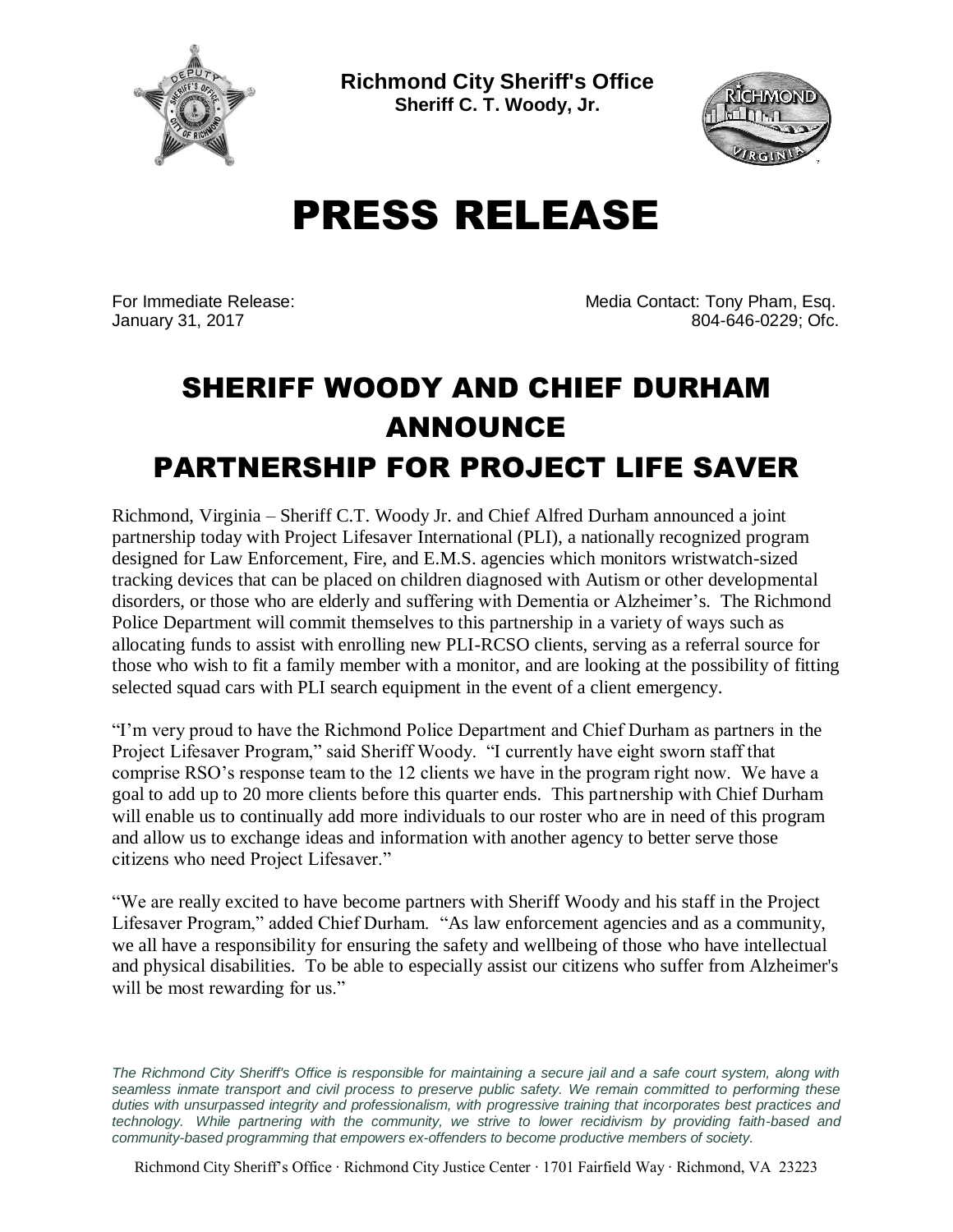

**Richmond City Sheriff's Office Sheriff C. T. Woody, Jr.**



## PRESS RELEASE

For Immediate Release: Media Contact: Tony Pham, Esq. January 31, 2017 804-646-0229; Ofc.

## SHERIFF WOODY AND CHIEF DURHAM ANNOUNCE PARTNERSHIP FOR PROJECT LIFE SAVER

Richmond, Virginia – Sheriff C.T. Woody Jr. and Chief Alfred Durham announced a joint partnership today with Project Lifesaver International (PLI), a nationally recognized program designed for Law Enforcement, Fire, and E.M.S. agencies which monitors wristwatch-sized tracking devices that can be placed on children diagnosed with Autism or other developmental disorders, or those who are elderly and suffering with Dementia or Alzheimer's. The Richmond Police Department will commit themselves to this partnership in a variety of ways such as allocating funds to assist with enrolling new PLI-RCSO clients, serving as a referral source for those who wish to fit a family member with a monitor, and are looking at the possibility of fitting selected squad cars with PLI search equipment in the event of a client emergency.

"I'm very proud to have the Richmond Police Department and Chief Durham as partners in the Project Lifesaver Program," said Sheriff Woody. "I currently have eight sworn staff that comprise RSO's response team to the 12 clients we have in the program right now. We have a goal to add up to 20 more clients before this quarter ends. This partnership with Chief Durham will enable us to continually add more individuals to our roster who are in need of this program and allow us to exchange ideas and information with another agency to better serve those citizens who need Project Lifesaver."

"We are really excited to have become partners with Sheriff Woody and his staff in the Project Lifesaver Program," added Chief Durham. "As law enforcement agencies and as a community, we all have a responsibility for ensuring the safety and wellbeing of those who have intellectual and physical disabilities. To be able to especially assist our citizens who suffer from Alzheimer's will be most rewarding for us."

The Richmond City Sheriff's Office is responsible for maintaining a secure jail and a safe court system, along with *seamless inmate transport and civil process to preserve public safety. We remain committed to performing these duties with unsurpassed integrity and professionalism, with progressive training that incorporates best practices and technology. While partnering with the community, we strive to lower recidivism by providing faith-based and community-based programming that empowers ex-offenders to become productive members of society.*